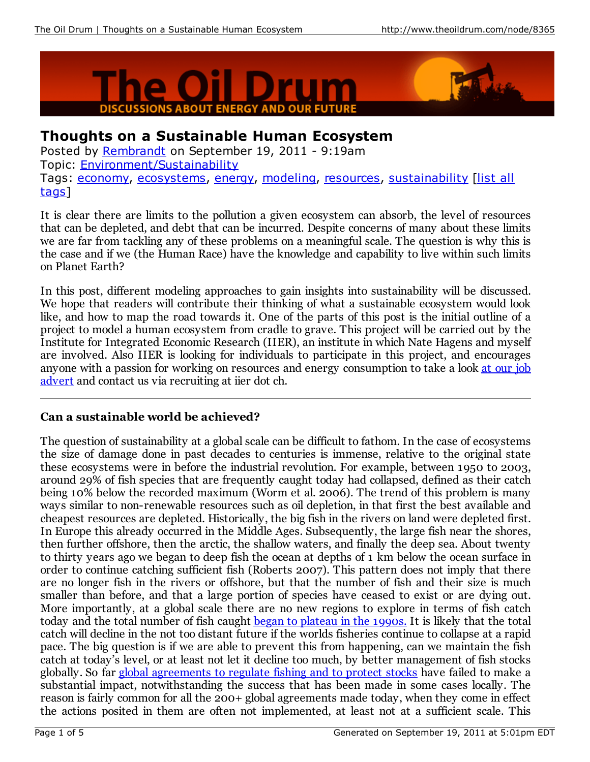



# **Thoughts on a Sustainable Human Ecosystem**

Posted by [Rembrandt](http://www.theoildrum.com/user/Rembrandt) on September 19, 2011 - 9:19am Topic: [Environment/Sustainability](http://www.theoildrum.com/topic/environment_sustainability) Tags: [economy](http://www.theoildrum.com/tag/economy), [ecosystems,](http://www.theoildrum.com/tag/ecosystems) [energy](http://www.theoildrum.com/tag/energy), [modeling](http://www.theoildrum.com/tag/modeling), [resources](http://www.theoildrum.com/tag/resources), [sustainability](http://www.theoildrum.com/special/tag_listing) [list all tags1

It is clear there are limits to the pollution a given ecosystem can absorb, the level of resources that can be depleted, and debt that can be incurred. Despite concerns of many about these limits we are far from tackling any of these problems on a meaningful scale. The question is why this is the case and if we (the Human Race) have the knowledge and capability to live within such limits on Planet Earth?

In this post, different modeling approaches to gain insights into sustainability will be discussed. We hope that readers will contribute their thinking of what a sustainable ecosystem would look like, and how to map the road towards it. One of the parts of this post is the initial outline of a project to model a human ecosystem from cradle to grave. This project will be carried out by the Institute for Integrated Economic Research (IIER), an institute in which Nate Hagens and myself are involved. Also IIER is looking for individuals to participate in this project, and encourages anyone with a passion for working on resources and energy [consumption](http://www.iier.ch/content/job-posting-integrated-economic-modeling-project) to take a look at our job advert and contact us via recruiting at iier dot ch.

### **Can a sustainable world be achieved?**

The question of sustainability at a global scale can be difficult to fathom. In the case of ecosystems the size of damage done in past decades to centuries is immense, relative to the original state these ecosystems were in before the industrial revolution. For example, between 1950 to 2003, around 29% of fish species that are frequently caught today had collapsed, defined as their catch being 10% below the recorded maximum (Worm et al. 2006). The trend of this problem is many ways similar to non-renewable resources such as oil depletion, in that first the best available and cheapest resources are depleted. Historically, the big fish in the rivers on land were depleted first. In Europe this already occurred in the Middle Ages. Subsequently, the large fish near the shores, then further offshore, then the arctic, the shallow waters, and finally the deep sea. About twenty to thirty years ago we began to deep fish the ocean at depths of 1 km below the ocean surface in order to continue catching sufficient fish (Roberts 2007). This pattern does not imply that there are no longer fish in the rivers or offshore, but that the number of fish and their size is much smaller than before, and that a large portion of species have ceased to exist or are dying out. More importantly, at a global scale there are no new regions to explore in terms of fish catch today and the total number of fish caught began to [plateau](http://www.fao.org/fishery/en) in the 1990s. It is likely that the total catch will decline in the not too distant future if the worlds fisheries continue to collapse at a rapid pace. The big question is if we are able to prevent this from happening, can we maintain the fish catch at today's level, or at least not let it decline too much, by better management of fish stocks globally. So far global [agreements](http://www.un.org/depts/los/convention_agreements/convention_overview_fish_stocks.htm) to regulate fishing and to protect stocks have failed to make a substantial impact, notwithstanding the success that has been made in some cases locally. The reason is fairly common for all the 200+ global agreements made today, when they come in effect the actions posited in them are often not implemented, at least not at a sufficient scale. This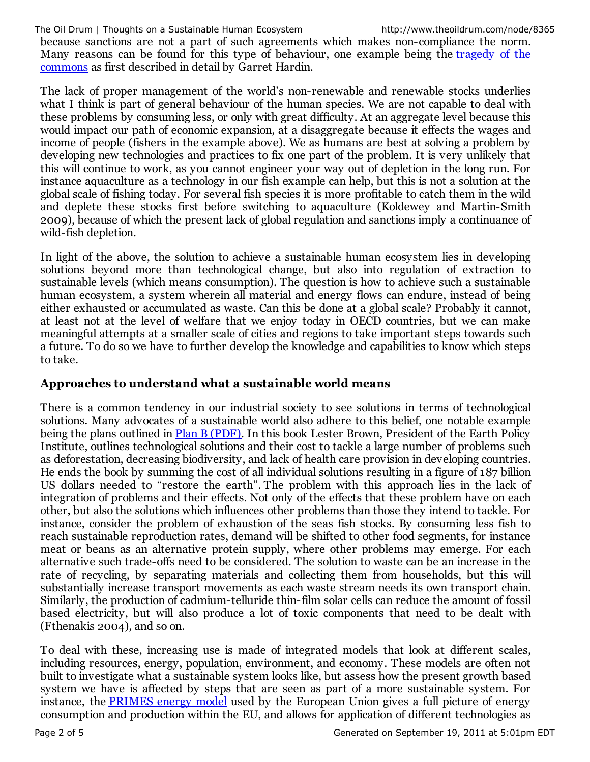The Oil Drum | Thoughts on a Sustainable Human Ecosystem http://www.theoildrum.com/node/8365

because sanctions are not a part of such agreements which makes non-compliance the norm. Many reasons can be found for this type of [behaviour,](http://en.wikipedia.org/wiki/Tragedy_of_the_commons) one example being the tragedy of the commons as first described in detail by Garret Hardin.

The lack of proper management of the world's non-renewable and renewable stocks underlies what I think is part of general behaviour of the human species. We are not capable to deal with these problems by consuming less, or only with great difficulty. At an aggregate level because this would impact our path of economic expansion, at a disaggregate because it effects the wages and income of people (fishers in the example above). We as humans are best at solving a problem by developing new technologies and practices to fix one part of the problem. It is very unlikely that this will continue to work, as you cannot engineer your way out of depletion in the long run. For instance aquaculture as a technology in our fish example can help, but this is not a solution at the global scale of fishing today. For several fish species it is more profitable to catch them in the wild and deplete these stocks first before switching to aquaculture (Koldewey and Martin-Smith 2009), because of which the present lack of global regulation and sanctions imply a continuance of wild-fish depletion.

In light of the above, the solution to achieve a sustainable human ecosystem lies in developing solutions beyond more than technological change, but also into regulation of extraction to sustainable levels (which means consumption). The question is how to achieve such a sustainable human ecosystem, a system wherein all material and energy flows can endure, instead of being either exhausted or accumulated as waste. Can this be done at a global scale? Probably it cannot, at least not at the level of welfare that we enjoy today in OECD countries, but we can make meaningful attempts at a smaller scale of cities and regions to take important steps towards such a future. To do so we have to further develop the knowledge and capabilities to know which steps to take.

#### **Approaches to understand what a sustainable world means**

There is a common tendency in our industrial society to see solutions in terms of technological solutions. Many advocates of a sustainable world also adhere to this belief, one notable example being the plans outlined in **Plan B [\(PDF\)](http://www.google.nl/url?sa=t&source=web&cd=2&ved=0CCYQFjAB&url=http%3A%2F%2Fwww.earth-policy.org%2Fimages%2Fuploads%2Fbook_files%2Fpb4book.pdf&rct=j&q=plan B lester brown&ei=AdpfTuKWHYabOr7x9esC&usg=AFQjCNHzdGVVRpugnIiQ9yxSfJSTU6W_4g&sig2=m75cwihJ-j)**. In this book Lester Brown, President of the Earth Policy Institute, outlines technological solutions and their cost to tackle a large number of problems such as deforestation, decreasing biodiversity, and lack of health care provision in developing countries. He ends the book by summing the cost of all individual solutions resulting in a figure of 187 billion US dollars needed to "restore the earth". The problem with this approach lies in the lack of integration of problems and their effects. Not only of the effects that these problem have on each other, but also the solutions which influences other problems than those they intend to tackle. For instance, consider the problem of exhaustion of the seas fish stocks. By consuming less fish to reach sustainable reproduction rates, demand will be shifted to other food segments, for instance meat or beans as an alternative protein supply, where other problems may emerge. For each alternative such trade-offs need to be considered. The solution to waste can be an increase in the rate of recycling, by separating materials and collecting them from households, but this will substantially increase transport movements as each waste stream needs its own transport chain. Similarly, the production of cadmium-telluride thin-film solar cells can reduce the amount of fossil based electricity, but will also produce a lot of toxic components that need to be dealt with (Fthenakis 2004), and so on.

To deal with these, increasing use is made of integrated models that look at different scales, including resources, energy, population, environment, and economy. These models are often not built to investigate what a sustainable system looks like, but assess how the present growth based system we have is affected by steps that are seen as part of a more sustainable system. For instance, the [PRIMES](http://www.google.nl/url?sa=t&source=web&cd=3&ved=0CC4QFjAC&url=http%3A%2F%2Fwww.e3mlab.ntua.gr%2Fmanuals%2FPRIMsd.pdf&rct=j&q=primes model EU&ei=UMBgTv_aLcmDOtO0yFU&usg=AFQjCNErwTYo4z_g3EfUZUua0q6Pz75XBw&sig2=gpAVBkD8F2nE0mBS2iH-aA&cad=rja) energy model used by the European Union gives a full picture of energy consumption and production within the EU, and allows for application of different technologies as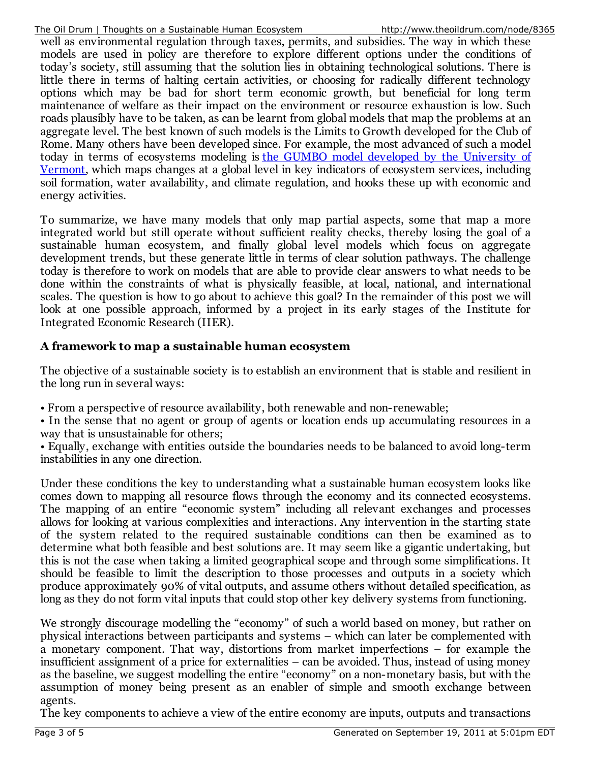well as environmental regulation through taxes, permits, and subsidies. The way in which these models are used in policy are therefore to explore different options under the conditions of today's society, still assuming that the solution lies in obtaining technological solutions. There is little there in terms of halting certain activities, or choosing for radically different technology options which may be bad for short term economic growth, but beneficial for long term maintenance of welfare as their impact on the environment or resource exhaustion is low. Such roads plausibly have to be taken, as can be learnt from global models that map the problems at an aggregate level. The best known of such models is the Limits to Growth developed for the Club of Rome. Many others have been developed since. For example, the most advanced of such a model today in terms of [ecosystems](http://ecoinformatics.uvm.edu/projects/the-gumbo-model.html) modeling is the GUMBO model developed by the University of Vermont, which maps changes at a global level in key indicators of ecosystem services, including soil formation, water availability, and climate regulation, and hooks these up with economic and energy activities.

To summarize, we have many models that only map partial aspects, some that map a more integrated world but still operate without sufficient reality checks, thereby losing the goal of a sustainable human ecosystem, and finally global level models which focus on aggregate development trends, but these generate little in terms of clear solution pathways. The challenge today is therefore to work on models that are able to provide clear answers to what needs to be done within the constraints of what is physically feasible, at local, national, and international scales. The question is how to go about to achieve this goal? In the remainder of this post we will look at one possible approach, informed by a project in its early stages of the Institute for Integrated Economic Research (IIER).

#### **A framework to map a sustainable human ecosystem**

The objective of a sustainable society is to establish an environment that is stable and resilient in the long run in several ways:

• From a perspective of resource availability, both renewable and non-renewable;

• In the sense that no agent or group of agents or location ends up accumulating resources in a way that is unsustainable for others;

• Equally, exchange with entities outside the boundaries needs to be balanced to avoid long-term instabilities in any one direction.

Under these conditions the key to understanding what a sustainable human ecosystem looks like comes down to mapping all resource flows through the economy and its connected ecosystems. The mapping of an entire "economic system" including all relevant exchanges and processes allows for looking at various complexities and interactions. Any intervention in the starting state of the system related to the required sustainable conditions can then be examined as to determine what both feasible and best solutions are. It may seem like a gigantic undertaking, but this is not the case when taking a limited geographical scope and through some simplifications. It should be feasible to limit the description to those processes and outputs in a society which produce approximately 90% of vital outputs, and assume others without detailed specification, as long as they do not form vital inputs that could stop other key delivery systems from functioning.

We strongly discourage modelling the "economy" of such a world based on money, but rather on physical interactions between participants and systems – which can later be complemented with a monetary component. That way, distortions from market imperfections – for example the insufficient assignment of a price for externalities – can be avoided. Thus, instead of using money as the baseline, we suggest modelling the entire "economy" on a non-monetary basis, but with the assumption of money being present as an enabler of simple and smooth exchange between agents.

The key components to achieve a view of the entire economy are inputs, outputs and transactions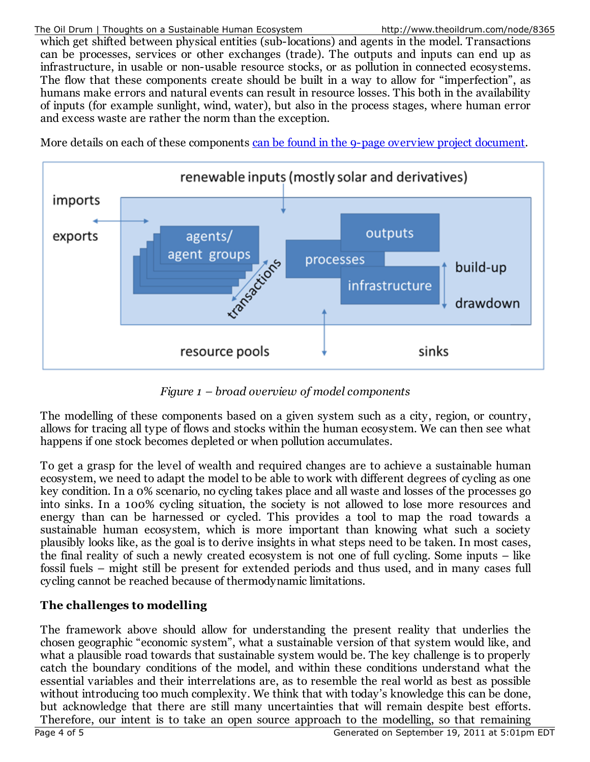#### The Oil Drum | Thoughts on a Sustainable Human Ecosystem http://www.theoildrum.com/node/8365

which get shifted between physical entities (sub-locations) and agents in the model. Transactions can be processes, services or other exchanges (trade). The outputs and inputs can end up as infrastructure, in usable or non-usable resource stocks, or as pollution in connected ecosystems. The flow that these components create should be built in a way to allow for "imperfection", as humans make errors and natural events can result in resource losses. This both in the availability of inputs (for example sunlight, wind, water), but also in the process stages, where human error and excess waste are rather the norm than the exception.

More details on each of these components can be found in the 9-page overview project [document](http://www.theoildrum.com/files/EST - Economic modeling project outline.pdf).



*Figure 1 – broad overview of model components*

The modelling of these components based on a given system such as a city, region, or country, allows for tracing all type of flows and stocks within the human ecosystem. We can then see what happens if one stock becomes depleted or when pollution accumulates.

To get a grasp for the level of wealth and required changes are to achieve a sustainable human ecosystem, we need to adapt the model to be able to work with different degrees of cycling as one key condition. In a 0% scenario, no cycling takes place and all waste and losses of the processes go into sinks. In a 100% cycling situation, the society is not allowed to lose more resources and energy than can be harnessed or cycled. This provides a tool to map the road towards a sustainable human ecosystem, which is more important than knowing what such a society plausibly looks like, as the goal is to derive insights in what steps need to be taken. In most cases, the final reality of such a newly created ecosystem is not one of full cycling. Some inputs – like fossil fuels – might still be present for extended periods and thus used, and in many cases full cycling cannot be reached because of thermodynamic limitations.

## **The challenges to modelling**

The framework above should allow for understanding the present reality that underlies the chosen geographic "economic system", what a sustainable version of that system would like, and what a plausible road towards that sustainable system would be. The key challenge is to properly catch the boundary conditions of the model, and within these conditions understand what the essential variables and their interrelations are, as to resemble the real world as best as possible without introducing too much complexity. We think that with today's knowledge this can be done, but acknowledge that there are still many uncertainties that will remain despite best efforts. Therefore, our intent is to take an open source approach to the modelling, so that remaining